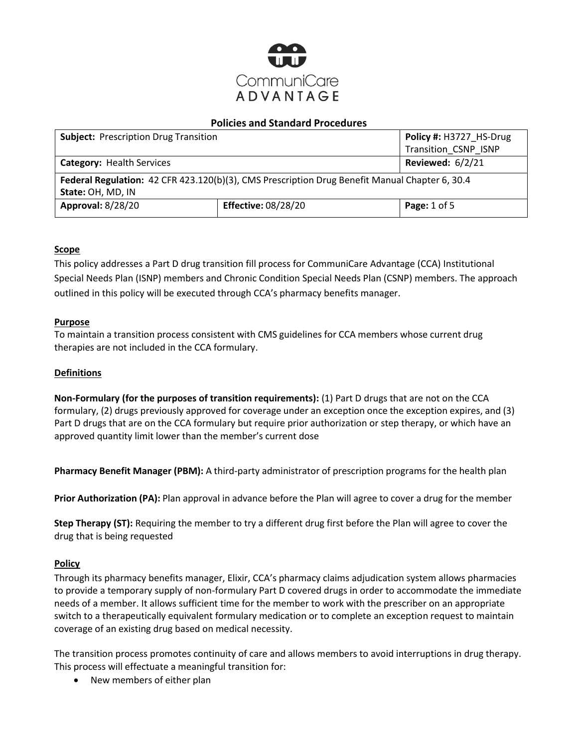

| <b>Subject: Prescription Drug Transition</b>                                                   |                            | Policy #: H3727 HS-Drug |  |
|------------------------------------------------------------------------------------------------|----------------------------|-------------------------|--|
|                                                                                                |                            | Transition_CSNP_ISNP    |  |
| <b>Category: Health Services</b>                                                               |                            | <b>Reviewed: 6/2/21</b> |  |
| Federal Regulation: 42 CFR 423.120(b)(3), CMS Prescription Drug Benefit Manual Chapter 6, 30.4 |                            |                         |  |
| State: OH, MD, IN                                                                              |                            |                         |  |
| <b>Approval: 8/28/20</b>                                                                       | <b>Effective: 08/28/20</b> | Page: $1$ of $5$        |  |

# **Scope**

This policy addresses a Part D drug transition fill process for CommuniCare Advantage (CCA) Institutional Special Needs Plan (ISNP) members and Chronic Condition Special Needs Plan (CSNP) members. The approach outlined in this policy will be executed through CCA's pharmacy benefits manager.

# **Purpose**

To maintain a transition process consistent with CMS guidelines for CCA members whose current drug therapies are not included in the CCA formulary.

### **Definitions**

**Non-Formulary (for the purposes of transition requirements):** (1) Part D drugs that are not on the CCA formulary, (2) drugs previously approved for coverage under an exception once the exception expires, and (3) Part D drugs that are on the CCA formulary but require prior authorization or step therapy, or which have an approved quantity limit lower than the member's current dose

**Pharmacy Benefit Manager (PBM):** A third-party administrator of prescription programs for the health plan

**Prior Authorization (PA):** Plan approval in advance before the Plan will agree to cover a drug for the member

**Step Therapy (ST):** Requiring the member to try a different drug first before the Plan will agree to cover the drug that is being requested

# **Policy**

Through its pharmacy benefits manager, Elixir, CCA's pharmacy claims adjudication system allows pharmacies to provide a temporary supply of non-formulary Part D covered drugs in order to accommodate the immediate needs of a member. It allows sufficient time for the member to work with the prescriber on an appropriate switch to a therapeutically equivalent formulary medication or to complete an exception request to maintain coverage of an existing drug based on medical necessity.

The transition process promotes continuity of care and allows members to avoid interruptions in drug therapy. This process will effectuate a meaningful transition for:

• New members of either plan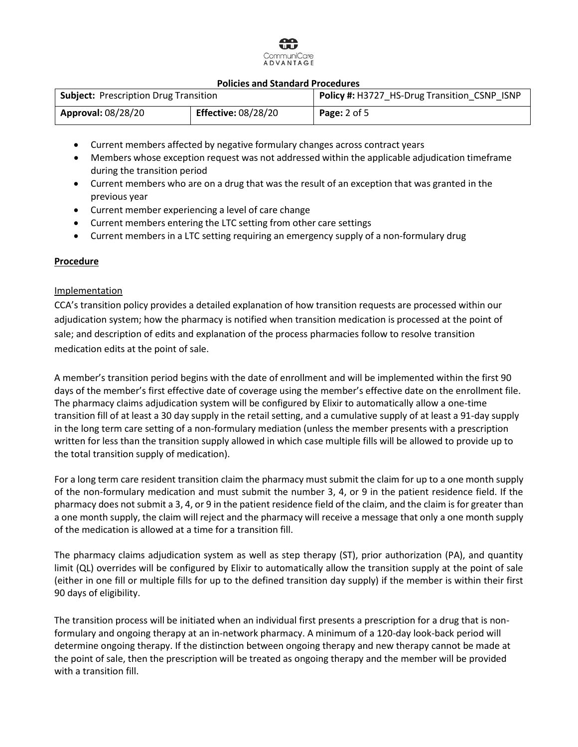# `ommuniCare ADVANTAGE

#### **Policies and Standard Procedures**

| <b>Subject: Prescription Drug Transition</b> |                            | <b>Policy #: H3727 HS-Drug Transition CSNP ISNP</b> |  |
|----------------------------------------------|----------------------------|-----------------------------------------------------|--|
| <b>Approval: 08/28/20</b>                    | <b>Effective: 08/28/20</b> | <b>Page:</b> 2 of 5                                 |  |

- Current members affected by negative formulary changes across contract years
- Members whose exception request was not addressed within the applicable adjudication timeframe during the transition period
- Current members who are on a drug that was the result of an exception that was granted in the previous year
- Current member experiencing a level of care change
- Current members entering the LTC setting from other care settings
- Current members in a LTC setting requiring an emergency supply of a non-formulary drug

#### **Procedure**

#### Implementation

CCA's transition policy provides a detailed explanation of how transition requests are processed within our adjudication system; how the pharmacy is notified when transition medication is processed at the point of sale; and description of edits and explanation of the process pharmacies follow to resolve transition medication edits at the point of sale.

A member's transition period begins with the date of enrollment and will be implemented within the first 90 days of the member's first effective date of coverage using the member's effective date on the enrollment file. The pharmacy claims adjudication system will be configured by Elixir to automatically allow a one-time transition fill of at least a 30 day supply in the retail setting, and a cumulative supply of at least a 91-day supply in the long term care setting of a non-formulary mediation (unless the member presents with a prescription written for less than the transition supply allowed in which case multiple fills will be allowed to provide up to the total transition supply of medication).

For a long term care resident transition claim the pharmacy must submit the claim for up to a one month supply of the non-formulary medication and must submit the number 3, 4, or 9 in the patient residence field. If the pharmacy does not submit a 3, 4, or 9 in the patient residence field of the claim, and the claim is for greater than a one month supply, the claim will reject and the pharmacy will receive a message that only a one month supply of the medication is allowed at a time for a transition fill.

The pharmacy claims adjudication system as well as step therapy (ST), prior authorization (PA), and quantity limit (QL) overrides will be configured by Elixir to automatically allow the transition supply at the point of sale (either in one fill or multiple fills for up to the defined transition day supply) if the member is within their first 90 days of eligibility.

The transition process will be initiated when an individual first presents a prescription for a drug that is nonformulary and ongoing therapy at an in-network pharmacy. A minimum of a 120-day look-back period will determine ongoing therapy. If the distinction between ongoing therapy and new therapy cannot be made at the point of sale, then the prescription will be treated as ongoing therapy and the member will be provided with a transition fill.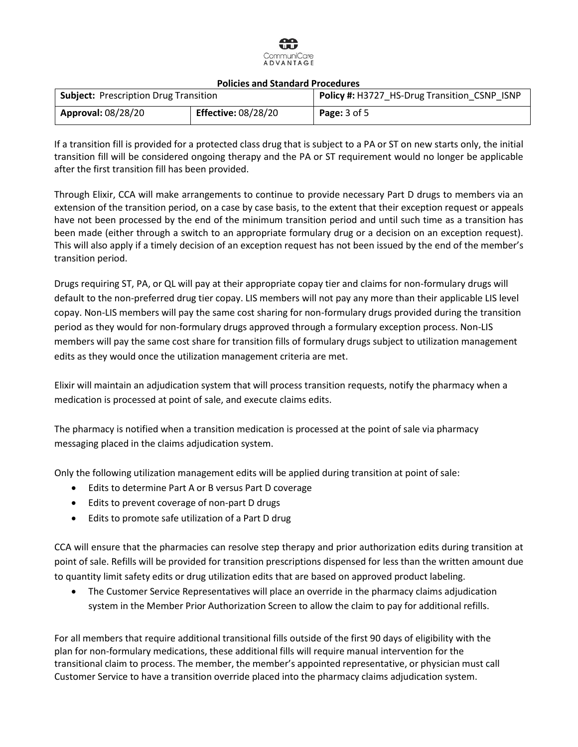

| <b>Policies and Standard Procedures</b>      |                            |                                              |  |
|----------------------------------------------|----------------------------|----------------------------------------------|--|
| <b>Subject: Prescription Drug Transition</b> |                            | Policy #: H3727 HS-Drug Transition CSNP ISNP |  |
| <b>Approval: 08/28/20</b>                    | <b>Effective: 08/28/20</b> | <b>Page:</b> $3$ of $5$                      |  |

If a transition fill is provided for a protected class drug that is subject to a PA or ST on new starts only, the initial transition fill will be considered ongoing therapy and the PA or ST requirement would no longer be applicable after the first transition fill has been provided.

Through Elixir, CCA will make arrangements to continue to provide necessary Part D drugs to members via an extension of the transition period, on a case by case basis, to the extent that their exception request or appeals have not been processed by the end of the minimum transition period and until such time as a transition has been made (either through a switch to an appropriate formulary drug or a decision on an exception request). This will also apply if a timely decision of an exception request has not been issued by the end of the member's transition period.

Drugs requiring ST, PA, or QL will pay at their appropriate copay tier and claims for non-formulary drugs will default to the non-preferred drug tier copay. LIS members will not pay any more than their applicable LIS level copay. Non-LIS members will pay the same cost sharing for non-formulary drugs provided during the transition period as they would for non-formulary drugs approved through a formulary exception process. Non-LIS members will pay the same cost share for transition fills of formulary drugs subject to utilization management edits as they would once the utilization management criteria are met.

Elixir will maintain an adjudication system that will process transition requests, notify the pharmacy when a medication is processed at point of sale, and execute claims edits.

The pharmacy is notified when a transition medication is processed at the point of sale via pharmacy messaging placed in the claims adjudication system.

Only the following utilization management edits will be applied during transition at point of sale:

- Edits to determine Part A or B versus Part D coverage
- Edits to prevent coverage of non-part D drugs
- Edits to promote safe utilization of a Part D drug

CCA will ensure that the pharmacies can resolve step therapy and prior authorization edits during transition at point of sale. Refills will be provided for transition prescriptions dispensed for less than the written amount due to quantity limit safety edits or drug utilization edits that are based on approved product labeling.

 The Customer Service Representatives will place an override in the pharmacy claims adjudication system in the Member Prior Authorization Screen to allow the claim to pay for additional refills.

For all members that require additional transitional fills outside of the first 90 days of eligibility with the plan for non-formulary medications, these additional fills will require manual intervention for the transitional claim to process. The member, the member's appointed representative, or physician must call Customer Service to have a transition override placed into the pharmacy claims adjudication system.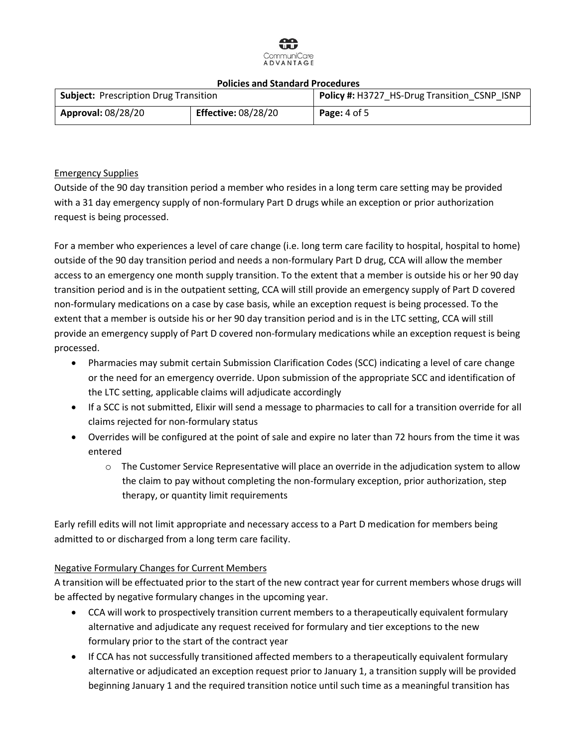

| POIICles and Standard Procedures             |                            |                                              |  |
|----------------------------------------------|----------------------------|----------------------------------------------|--|
| <b>Subject: Prescription Drug Transition</b> |                            | Policy #: H3727 HS-Drug Transition CSNP ISNP |  |
| <b>Approval: 08/28/20</b>                    | <b>Effective: 08/28/20</b> | <b>Page:</b> 4 of 5                          |  |

# Emergency Supplies

Outside of the 90 day transition period a member who resides in a long term care setting may be provided with a 31 day emergency supply of non-formulary Part D drugs while an exception or prior authorization request is being processed.

For a member who experiences a level of care change (i.e. long term care facility to hospital, hospital to home) outside of the 90 day transition period and needs a non-formulary Part D drug, CCA will allow the member access to an emergency one month supply transition. To the extent that a member is outside his or her 90 day transition period and is in the outpatient setting, CCA will still provide an emergency supply of Part D covered non-formulary medications on a case by case basis, while an exception request is being processed. To the extent that a member is outside his or her 90 day transition period and is in the LTC setting, CCA will still provide an emergency supply of Part D covered non-formulary medications while an exception request is being processed.

- Pharmacies may submit certain Submission Clarification Codes (SCC) indicating a level of care change or the need for an emergency override. Upon submission of the appropriate SCC and identification of the LTC setting, applicable claims will adjudicate accordingly
- If a SCC is not submitted, Elixir will send a message to pharmacies to call for a transition override for all claims rejected for non-formulary status
- Overrides will be configured at the point of sale and expire no later than 72 hours from the time it was entered
	- o The Customer Service Representative will place an override in the adjudication system to allow the claim to pay without completing the non-formulary exception, prior authorization, step therapy, or quantity limit requirements

Early refill edits will not limit appropriate and necessary access to a Part D medication for members being admitted to or discharged from a long term care facility.

# Negative Formulary Changes for Current Members

A transition will be effectuated prior to the start of the new contract year for current members whose drugs will be affected by negative formulary changes in the upcoming year.

- CCA will work to prospectively transition current members to a therapeutically equivalent formulary alternative and adjudicate any request received for formulary and tier exceptions to the new formulary prior to the start of the contract year
- If CCA has not successfully transitioned affected members to a therapeutically equivalent formulary alternative or adjudicated an exception request prior to January 1, a transition supply will be provided beginning January 1 and the required transition notice until such time as a meaningful transition has